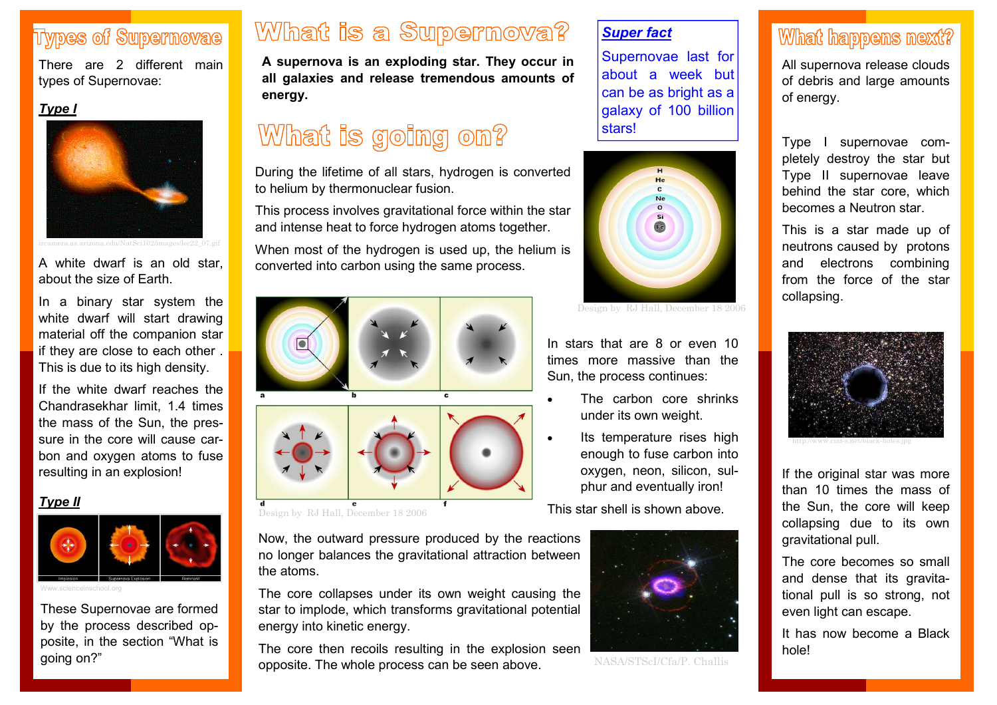## **Types of Supernovae**

There are 2 different main types of Supernovae:

#### *Type I*



A white dwarf is an old star, about the size of Earth.

In a binary star system the white dwarf will start drawing material off the companion star if they are close to each other . This is due to its high density.

If the white dwarf reaches the Chandrasekhar limit, 1.4 times the mass of the Sun, the pressure in the core will cause carbon and oxygen atoms to fuse resulting in an explosion!

#### *Type II*



These Supernovae are formed by the process described opposite, in the section "What is going on?"

## What is a Supernova?

**A supernova is an exploding star. They occur in all galaxies and release tremendous amounts of energy.** 

## What is going on?

During the lifetime of all stars, hydrogen is converted to helium by thermonuclear fusion.

This process involves gravitational force within the star and intense heat to force hydrogen atoms together.

When most of the hydrogen is used up, the helium is converted into carbon using the same process.



Design by RJ Hall, December 18 2006

Now, the outward pressure produced by the reactions no longer balances the gravitational attraction between the atoms.

The core collapses under its own weight causing the star to implode, which transforms gravitational potential energy into kinetic energy.

The core then recoils resulting in the explosion seen opposite. The whole process can be seen above. NASA/STScI/Cfa/P. Challis

#### *Super fact*

Supernovae last for about a week but can be as bright as a galaxy of 100 billion stars!



Design by RJ Hall, December 18 2006

In stars that are 8 or even 10 times more massive than the Sun, the process continues:

- The carbon core shrinks under its own weight.
- Its temperature rises high enough to fuse carbon into oxygen, neon, silicon, sulphur and eventually iron!

This star shell is shown above.



## What happens next?

All supernova release clouds of debris and large amounts of energy.

Type I supernovae completely destroy the star but Type II supernovae leave behind the star core, which becomes a Neutron star.

This is a star made up of neutrons caused by protons and electrons combining from the force of the star collapsing.



http://www.ciai-s.net/black-holes.jpg

If the original star was more than 10 times the mass of the Sun, the core will keep collapsing due to its own gravitational pull.

The core becomes so small and dense that its gravitational pull is so strong, not even light can escape.

It has now become a Black hole!